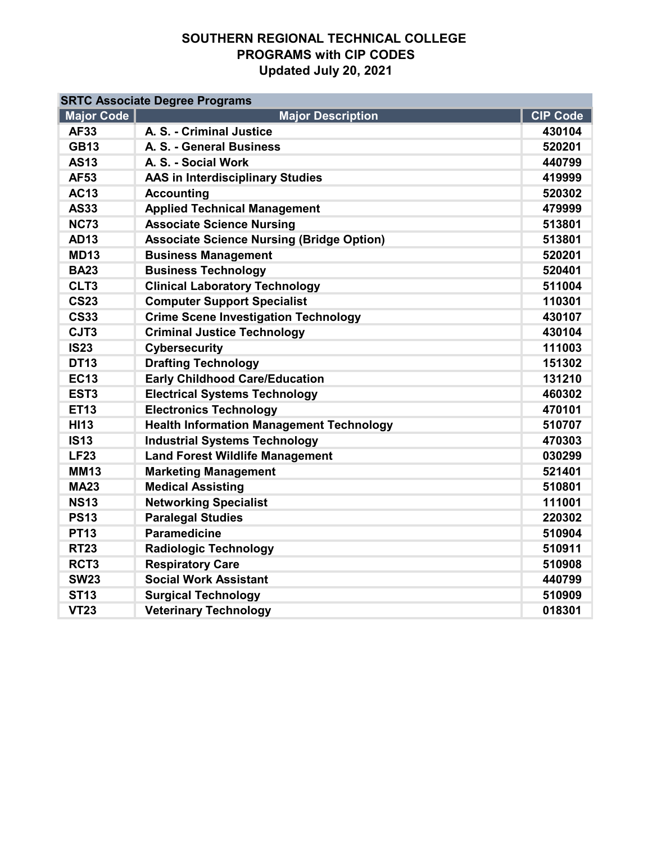| <b>SRTC Associate Degree Programs</b> |                                                  |                 |  |  |  |
|---------------------------------------|--------------------------------------------------|-----------------|--|--|--|
| Major Code                            | <b>Major Description</b>                         | <b>CIP Code</b> |  |  |  |
| <b>AF33</b>                           | A. S. - Criminal Justice                         | 430104          |  |  |  |
| <b>GB13</b>                           | A. S. - General Business                         | 520201          |  |  |  |
| <b>AS13</b>                           | A. S. - Social Work                              | 440799          |  |  |  |
| <b>AF53</b>                           | <b>AAS in Interdisciplinary Studies</b>          | 419999          |  |  |  |
| <b>AC13</b>                           | <b>Accounting</b>                                | 520302          |  |  |  |
| <b>AS33</b>                           | <b>Applied Technical Management</b>              | 479999          |  |  |  |
| <b>NC73</b>                           | <b>Associate Science Nursing</b>                 | 513801          |  |  |  |
| <b>AD13</b>                           | <b>Associate Science Nursing (Bridge Option)</b> | 513801          |  |  |  |
| <b>MD13</b>                           | <b>Business Management</b>                       | 520201          |  |  |  |
| <b>BA23</b>                           | <b>Business Technology</b>                       | 520401          |  |  |  |
| CLT3                                  | <b>Clinical Laboratory Technology</b>            | 511004          |  |  |  |
| <b>CS23</b>                           | <b>Computer Support Specialist</b>               | 110301          |  |  |  |
| <b>CS33</b>                           | <b>Crime Scene Investigation Technology</b>      | 430107          |  |  |  |
| CJT3                                  | <b>Criminal Justice Technology</b>               | 430104          |  |  |  |
| <b>IS23</b>                           | Cybersecurity                                    | 111003          |  |  |  |
| <b>DT13</b>                           | <b>Drafting Technology</b>                       | 151302          |  |  |  |
| <b>EC13</b>                           | <b>Early Childhood Care/Education</b>            | 131210          |  |  |  |
| EST <sub>3</sub>                      | <b>Electrical Systems Technology</b>             | 460302          |  |  |  |
| <b>ET13</b>                           | <b>Electronics Technology</b>                    | 470101          |  |  |  |
| <b>HI13</b>                           | <b>Health Information Management Technology</b>  | 510707          |  |  |  |
| <b>IS13</b>                           | <b>Industrial Systems Technology</b>             | 470303          |  |  |  |
| <b>LF23</b>                           | <b>Land Forest Wildlife Management</b>           | 030299          |  |  |  |
| <b>MM13</b>                           | <b>Marketing Management</b>                      | 521401          |  |  |  |
| <b>MA23</b>                           | <b>Medical Assisting</b>                         | 510801          |  |  |  |
| <b>NS13</b>                           | <b>Networking Specialist</b>                     | 111001          |  |  |  |
| <b>PS13</b>                           | <b>Paralegal Studies</b>                         | 220302          |  |  |  |
| <b>PT13</b>                           | <b>Paramedicine</b>                              | 510904          |  |  |  |
| <b>RT23</b>                           | <b>Radiologic Technology</b>                     | 510911          |  |  |  |
| RCT <sub>3</sub>                      | <b>Respiratory Care</b>                          | 510908          |  |  |  |
| <b>SW23</b>                           | <b>Social Work Assistant</b>                     | 440799          |  |  |  |
| <b>ST13</b>                           | <b>Surgical Technology</b>                       | 510909          |  |  |  |
| <b>VT23</b>                           | <b>Veterinary Technology</b>                     | 018301          |  |  |  |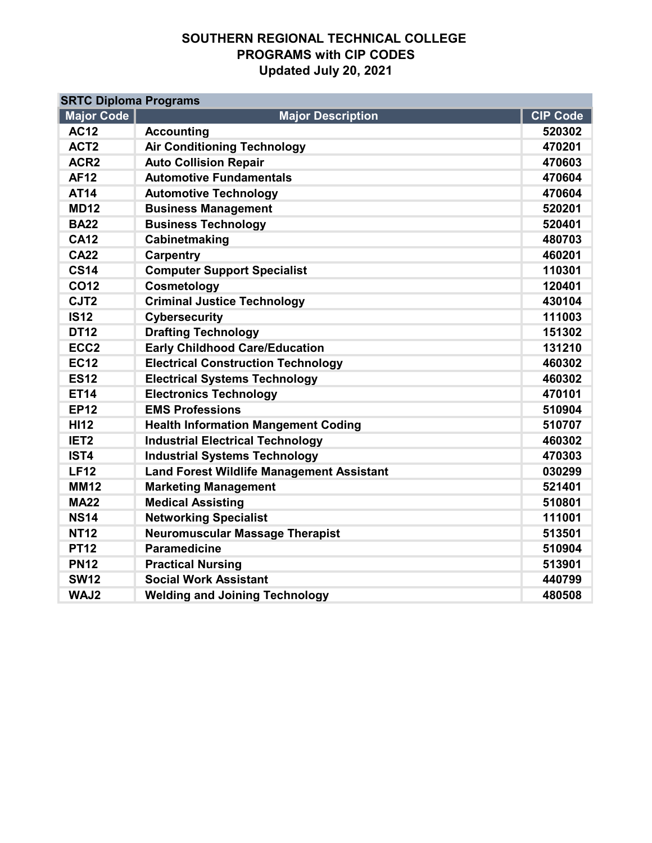| <b>SRTC Diploma Programs</b> |                                                  |                 |  |  |  |
|------------------------------|--------------------------------------------------|-----------------|--|--|--|
| <b>Major Code</b>            | <b>Major Description</b>                         | <b>CIP Code</b> |  |  |  |
| <b>AC12</b>                  | <b>Accounting</b>                                | 520302          |  |  |  |
| ACT <sub>2</sub>             | <b>Air Conditioning Technology</b>               | 470201          |  |  |  |
| ACR <sub>2</sub>             | <b>Auto Collision Repair</b>                     | 470603          |  |  |  |
| <b>AF12</b>                  | <b>Automotive Fundamentals</b>                   | 470604          |  |  |  |
| <b>AT14</b>                  | <b>Automotive Technology</b>                     | 470604          |  |  |  |
| <b>MD12</b>                  | <b>Business Management</b>                       | 520201          |  |  |  |
| <b>BA22</b>                  | <b>Business Technology</b>                       | 520401          |  |  |  |
| <b>CA12</b>                  | Cabinetmaking                                    | 480703          |  |  |  |
| <b>CA22</b>                  | <b>Carpentry</b>                                 | 460201          |  |  |  |
| <b>CS14</b>                  | <b>Computer Support Specialist</b>               | 110301          |  |  |  |
| <b>CO12</b>                  | Cosmetology                                      | 120401          |  |  |  |
| CJT <sub>2</sub>             | <b>Criminal Justice Technology</b>               | 430104          |  |  |  |
| <b>IS12</b>                  | <b>Cybersecurity</b>                             | 111003          |  |  |  |
| <b>DT12</b>                  | <b>Drafting Technology</b>                       | 151302          |  |  |  |
| ECC <sub>2</sub>             | <b>Early Childhood Care/Education</b>            | 131210          |  |  |  |
| <b>EC12</b>                  | <b>Electrical Construction Technology</b>        | 460302          |  |  |  |
| <b>ES12</b>                  | <b>Electrical Systems Technology</b>             | 460302          |  |  |  |
| <b>ET14</b>                  | <b>Electronics Technology</b>                    | 470101          |  |  |  |
| <b>EP12</b>                  | <b>EMS Professions</b>                           | 510904          |  |  |  |
| <b>HI12</b>                  | <b>Health Information Mangement Coding</b>       | 510707          |  |  |  |
| IET <sub>2</sub>             | <b>Industrial Electrical Technology</b>          | 460302          |  |  |  |
| IST4                         | <b>Industrial Systems Technology</b>             | 470303          |  |  |  |
| <b>LF12</b>                  | <b>Land Forest Wildlife Management Assistant</b> | 030299          |  |  |  |
| <b>MM12</b>                  | <b>Marketing Management</b>                      | 521401          |  |  |  |
| <b>MA22</b>                  | <b>Medical Assisting</b>                         | 510801          |  |  |  |
| <b>NS14</b>                  | <b>Networking Specialist</b>                     | 111001          |  |  |  |
| <b>NT12</b>                  | <b>Neuromuscular Massage Therapist</b>           | 513501          |  |  |  |
| <b>PT12</b>                  | <b>Paramedicine</b>                              | 510904          |  |  |  |
| <b>PN12</b>                  | <b>Practical Nursing</b>                         | 513901          |  |  |  |
| <b>SW12</b>                  | <b>Social Work Assistant</b>                     | 440799          |  |  |  |
| WAJ2                         | <b>Welding and Joining Technology</b>            | 480508          |  |  |  |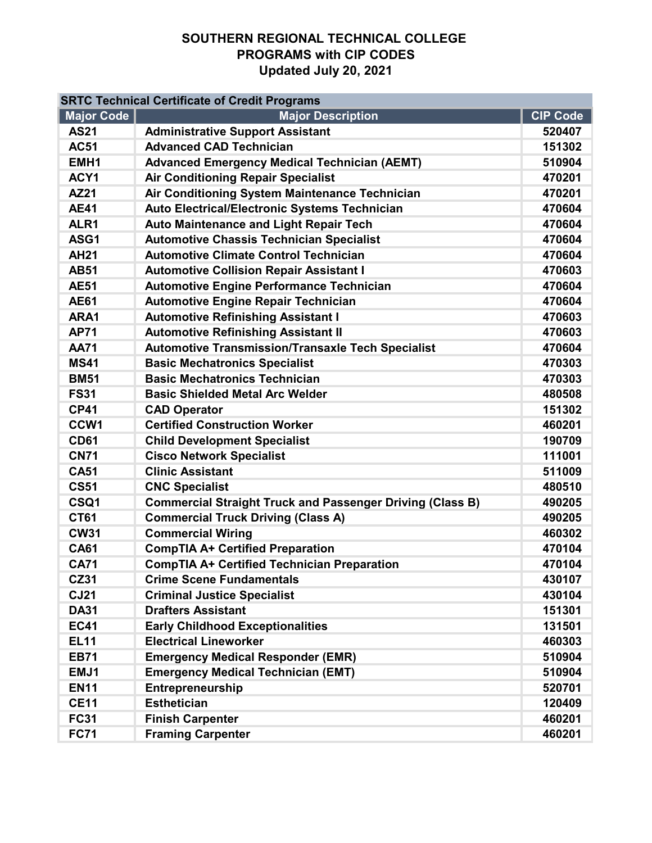| <b>SRTC Technical Certificate of Credit Programs</b> |                                                                  |                 |  |  |
|------------------------------------------------------|------------------------------------------------------------------|-----------------|--|--|
| <b>Major Code</b>                                    | <b>Major Description</b>                                         | <b>CIP Code</b> |  |  |
| <b>AS21</b>                                          | <b>Administrative Support Assistant</b>                          | 520407          |  |  |
| <b>AC51</b>                                          | <b>Advanced CAD Technician</b>                                   | 151302          |  |  |
| EMH <sub>1</sub>                                     | <b>Advanced Emergency Medical Technician (AEMT)</b>              | 510904          |  |  |
| ACY1                                                 | <b>Air Conditioning Repair Specialist</b>                        | 470201          |  |  |
| <b>AZ21</b>                                          | Air Conditioning System Maintenance Technician                   | 470201          |  |  |
| <b>AE41</b>                                          | Auto Electrical/Electronic Systems Technician                    | 470604          |  |  |
| ALR <sub>1</sub>                                     | <b>Auto Maintenance and Light Repair Tech</b>                    | 470604          |  |  |
| ASG1                                                 | <b>Automotive Chassis Technician Specialist</b>                  | 470604          |  |  |
| <b>AH21</b>                                          | <b>Automotive Climate Control Technician</b>                     | 470604          |  |  |
| <b>AB51</b>                                          | <b>Automotive Collision Repair Assistant I</b>                   | 470603          |  |  |
| <b>AE51</b>                                          | <b>Automotive Engine Performance Technician</b>                  | 470604          |  |  |
| <b>AE61</b>                                          | <b>Automotive Engine Repair Technician</b>                       | 470604          |  |  |
| ARA1                                                 | <b>Automotive Refinishing Assistant I</b>                        | 470603          |  |  |
| <b>AP71</b>                                          | <b>Automotive Refinishing Assistant II</b>                       | 470603          |  |  |
| <b>AA71</b>                                          | <b>Automotive Transmission/Transaxle Tech Specialist</b>         | 470604          |  |  |
| <b>MS41</b>                                          | <b>Basic Mechatronics Specialist</b>                             | 470303          |  |  |
| <b>BM51</b>                                          | <b>Basic Mechatronics Technician</b>                             | 470303          |  |  |
| <b>FS31</b>                                          | <b>Basic Shielded Metal Arc Welder</b>                           | 480508          |  |  |
| <b>CP41</b>                                          | <b>CAD Operator</b>                                              | 151302          |  |  |
| CCW1                                                 | <b>Certified Construction Worker</b>                             | 460201          |  |  |
| <b>CD61</b>                                          | <b>Child Development Specialist</b>                              | 190709          |  |  |
| <b>CN71</b>                                          | <b>Cisco Network Specialist</b>                                  | 111001          |  |  |
| <b>CA51</b>                                          | <b>Clinic Assistant</b>                                          | 511009          |  |  |
| <b>CS51</b>                                          | <b>CNC Specialist</b>                                            | 480510          |  |  |
| CSQ1                                                 | <b>Commercial Straight Truck and Passenger Driving (Class B)</b> | 490205          |  |  |
| <b>CT61</b>                                          | <b>Commercial Truck Driving (Class A)</b>                        | 490205          |  |  |
| <b>CW31</b>                                          | <b>Commercial Wiring</b>                                         | 460302          |  |  |
| <b>CA61</b>                                          | <b>CompTIA A+ Certified Preparation</b>                          | 470104          |  |  |
| <b>CA71</b>                                          | <b>CompTIA A+ Certified Technician Preparation</b>               | 470104          |  |  |
| <b>CZ31</b>                                          | <b>Crime Scene Fundamentals</b>                                  | 430107          |  |  |
| <b>CJ21</b>                                          | <b>Criminal Justice Specialist</b>                               | 430104          |  |  |
| <b>DA31</b>                                          | <b>Drafters Assistant</b>                                        | 151301          |  |  |
| <b>EC41</b>                                          | <b>Early Childhood Exceptionalities</b>                          | 131501          |  |  |
| <b>EL11</b>                                          | <b>Electrical Lineworker</b>                                     | 460303          |  |  |
| <b>EB71</b>                                          | <b>Emergency Medical Responder (EMR)</b>                         | 510904          |  |  |
| EMJ1                                                 | <b>Emergency Medical Technician (EMT)</b>                        | 510904          |  |  |
| <b>EN11</b>                                          | Entrepreneurship                                                 | 520701          |  |  |
| <b>CE11</b>                                          | <b>Esthetician</b>                                               | 120409          |  |  |
| <b>FC31</b>                                          | <b>Finish Carpenter</b>                                          | 460201          |  |  |
| <b>FC71</b>                                          | <b>Framing Carpenter</b>                                         | 460201          |  |  |